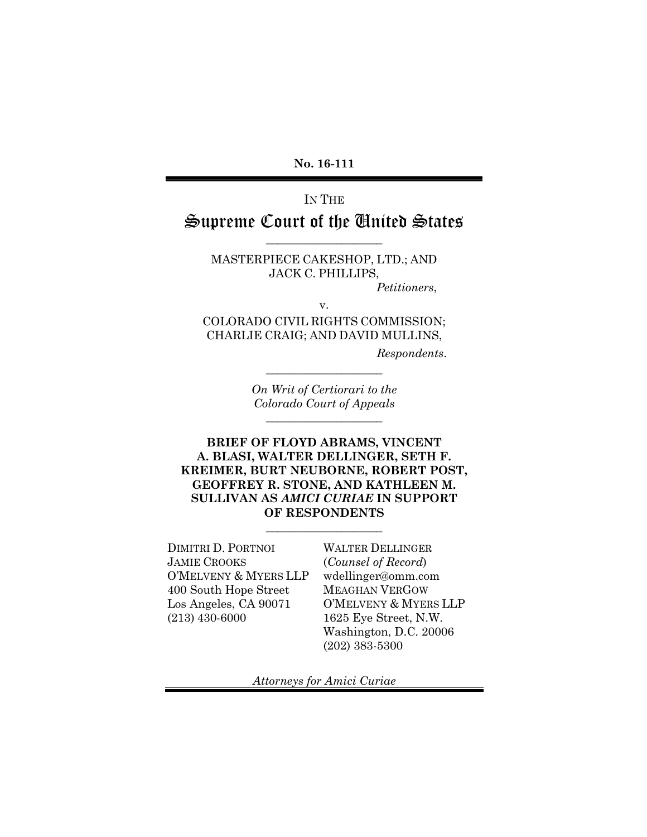**No. 16-111**

# IN THE Supreme Court of the United States

MASTERPIECE CAKESHOP, LTD.; AND JACK C. PHILLIPS,

\_\_\_\_\_\_\_\_\_\_\_\_\_\_\_\_\_\_\_\_

*Petitioners*,

v.

COLORADO CIVIL RIGHTS COMMISSION; CHARLIE CRAIG; AND DAVID MULLINS,

*Respondents*.

*On Writ of Certiorari to the Colorado Court of Appeals* \_\_\_\_\_\_\_\_\_\_\_\_\_\_\_\_\_\_\_\_

\_\_\_\_\_\_\_\_\_\_\_\_\_\_\_\_\_\_\_\_

**BRIEF OF FLOYD ABRAMS, VINCENT A. BLASI, WALTER DELLINGER, SETH F. KREIMER, BURT NEUBORNE, ROBERT POST, GEOFFREY R. STONE, AND KATHLEEN M. SULLIVAN AS** *AMICI CURIAE* **IN SUPPORT OF RESPONDENTS**

\_\_\_\_\_\_\_\_\_\_\_\_\_\_\_\_\_\_\_\_

DIMITRI D. PORTNOI JAMIE CROOKS O'MELVENY & MYERS LLP 400 South Hope Street Los Angeles, CA 90071 (213) 430-6000

WALTER DELLINGER (*Counsel of Record*) wdellinger@omm.com MEAGHAN VERGOW O'MELVENY & MYERS LLP 1625 Eye Street, N.W. Washington, D.C. 20006 (202) 383-5300

*Attorneys for Amici Curiae*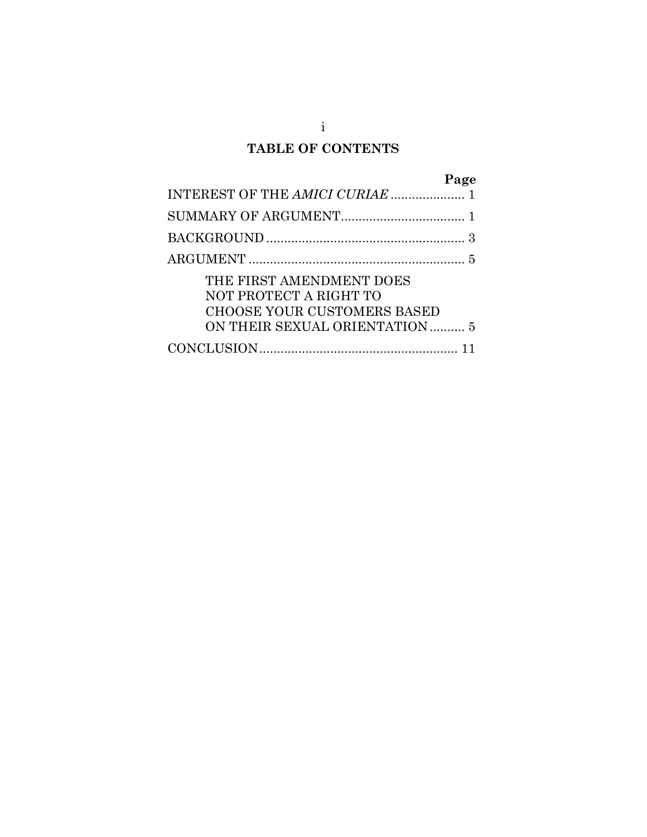# **TABLE OF CONTENTS**

|                                    | Page |
|------------------------------------|------|
|                                    |      |
|                                    |      |
|                                    |      |
|                                    |      |
| THE FIRST AMENDMENT DOES           |      |
| NOT PROTECT A RIGHT TO             |      |
| <b>CHOOSE YOUR CUSTOMERS BASED</b> |      |
| ON THEIR SEXUAL ORIENTATION 5      |      |
|                                    |      |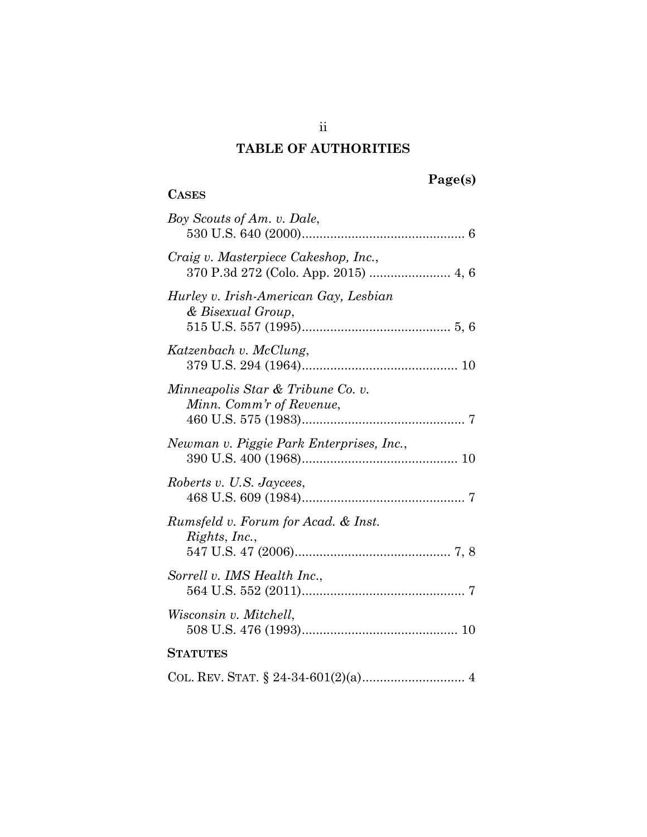# **TABLE OF AUTHORITIES**

# **Page(s)**

# **CASES**

| Boy Scouts of Am. v. Dale,                                    |
|---------------------------------------------------------------|
| Craig v. Masterpiece Cakeshop, Inc.,                          |
| Hurley v. Irish-American Gay, Lesbian<br>& Bisexual Group,    |
| Katzenbach v. McClung,                                        |
| Minneapolis Star & Tribune Co. v.<br>Minn. Comm'r of Revenue, |
| Newman v. Piggie Park Enterprises, Inc.,                      |
| Roberts v. U.S. Jaycees,                                      |
| Rumsfeld v. Forum for Acad. & Inst.<br>Rights, Inc.,          |
| Sorrell v. IMS Health Inc.,                                   |
| Wisconsin v. Mitchell,                                        |
| <b>STATUTES</b>                                               |
|                                                               |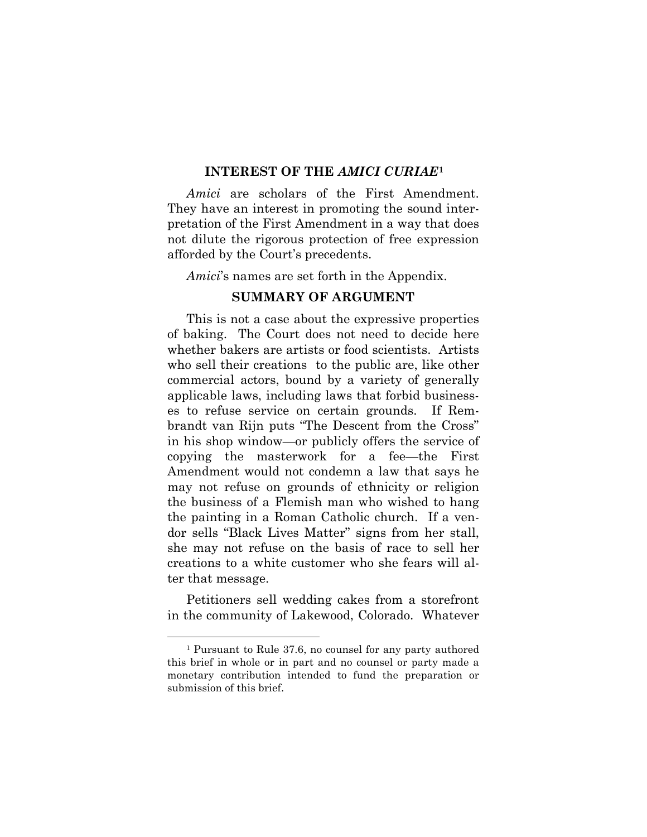## **INTEREST OF THE** *AMICI CURIAE***[1](#page-3-1)**

<span id="page-3-0"></span>*Amici* are scholars of the First Amendment. They have an interest in promoting the sound interpretation of the First Amendment in a way that does not dilute the rigorous protection of free expression afforded by the Court's precedents.

*Amici*'s names are set forth in the Appendix.

## **SUMMARY OF ARGUMENT**

This is not a case about the expressive properties of baking. The Court does not need to decide here whether bakers are artists or food scientists. Artists who sell their creations to the public are, like other commercial actors, bound by a variety of generally applicable laws, including laws that forbid businesses to refuse service on certain grounds. If Rembrandt van Rijn puts "The Descent from the Cross" in his shop window—or publicly offers the service of copying the masterwork for a fee—the First Amendment would not condemn a law that says he may not refuse on grounds of ethnicity or religion the business of a Flemish man who wished to hang the painting in a Roman Catholic church. If a vendor sells "Black Lives Matter" signs from her stall, she may not refuse on the basis of race to sell her creations to a white customer who she fears will alter that message.

Petitioners sell wedding cakes from a storefront in the community of Lakewood, Colorado. Whatever

<span id="page-3-1"></span> <sup>1</sup> Pursuant to Rule 37.6, no counsel for any party authored this brief in whole or in part and no counsel or party made a monetary contribution intended to fund the preparation or submission of this brief.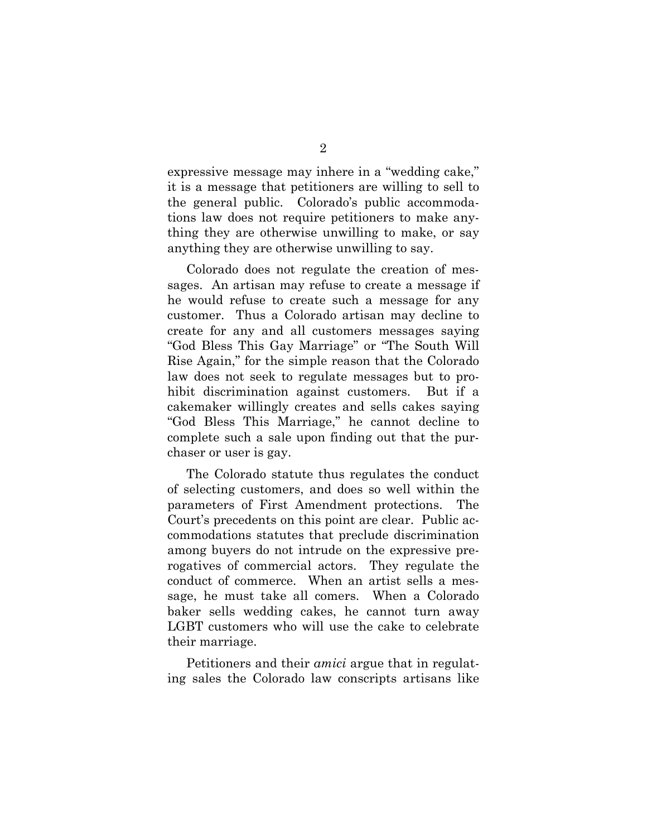expressive message may inhere in a "wedding cake," it is a message that petitioners are willing to sell to the general public. Colorado's public accommodations law does not require petitioners to make anything they are otherwise unwilling to make, or say anything they are otherwise unwilling to say.

Colorado does not regulate the creation of messages. An artisan may refuse to create a message if he would refuse to create such a message for any customer. Thus a Colorado artisan may decline to create for any and all customers messages saying "God Bless This Gay Marriage" or "The South Will Rise Again," for the simple reason that the Colorado law does not seek to regulate messages but to prohibit discrimination against customers. But if a cakemaker willingly creates and sells cakes saying "God Bless This Marriage," he cannot decline to complete such a sale upon finding out that the purchaser or user is gay.

The Colorado statute thus regulates the conduct of selecting customers, and does so well within the parameters of First Amendment protections. The Court's precedents on this point are clear. Public accommodations statutes that preclude discrimination among buyers do not intrude on the expressive prerogatives of commercial actors. They regulate the conduct of commerce. When an artist sells a message, he must take all comers. When a Colorado baker sells wedding cakes, he cannot turn away LGBT customers who will use the cake to celebrate their marriage.

Petitioners and their *amici* argue that in regulating sales the Colorado law conscripts artisans like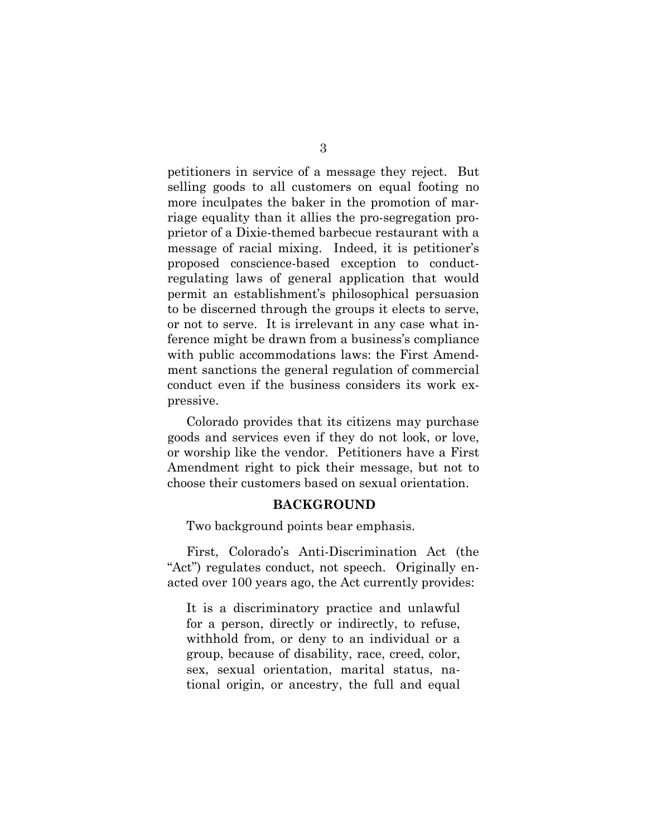petitioners in service of a message they reject. But selling goods to all customers on equal footing no more inculpates the baker in the promotion of marriage equality than it allies the pro-segregation proprietor of a Dixie-themed barbecue restaurant with a message of racial mixing. Indeed, it is petitioner's proposed conscience-based exception to conductregulating laws of general application that would permit an establishment's philosophical persuasion to be discerned through the groups it elects to serve, or not to serve. It is irrelevant in any case what inference might be drawn from a business's compliance with public accommodations laws: the First Amendment sanctions the general regulation of commercial conduct even if the business considers its work expressive.

Colorado provides that its citizens may purchase goods and services even if they do not look, or love, or worship like the vendor. Petitioners have a First Amendment right to pick their message, but not to choose their customers based on sexual orientation.

#### **BACKGROUND**

<span id="page-5-0"></span>Two background points bear emphasis.

First, Colorado's Anti-Discrimination Act (the "Act") regulates conduct, not speech. Originally enacted over 100 years ago, the Act currently provides:

It is a discriminatory practice and unlawful for a person, directly or indirectly, to refuse, withhold from, or deny to an individual or a group, because of disability, race, creed, color, sex, sexual orientation, marital status, national origin, or ancestry, the full and equal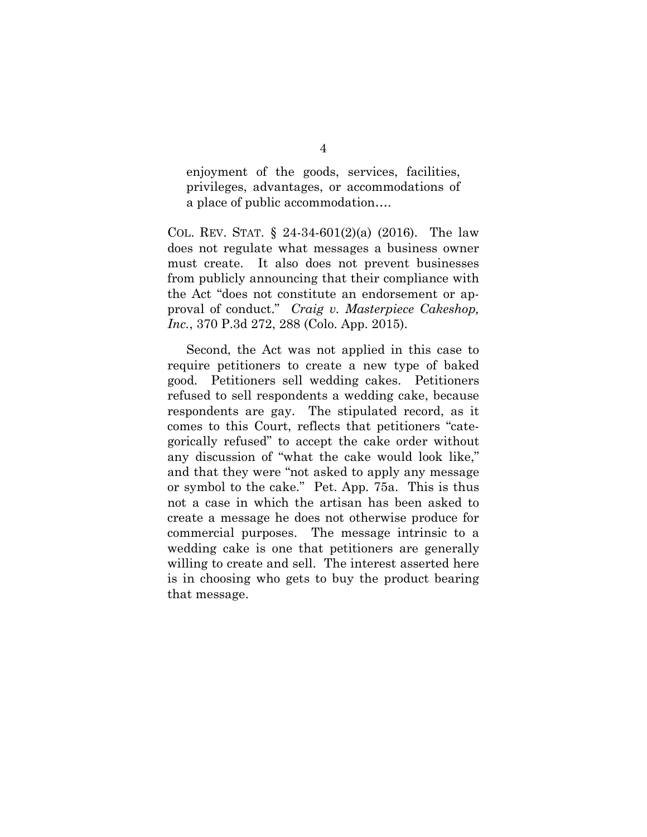enjoyment of the goods, services, facilities, privileges, advantages, or accommodations of a place of public accommodation….

COL. REV. STAT.  $\S$  24-34-601(2)(a) (2016). The law does not regulate what messages a business owner must create. It also does not prevent businesses from publicly announcing that their compliance with the Act "does not constitute an endorsement or approval of conduct." *Craig v. Masterpiece Cakeshop, Inc.*, 370 P.3d 272, 288 (Colo. App. 2015).

Second, the Act was not applied in this case to require petitioners to create a new type of baked good. Petitioners sell wedding cakes. Petitioners refused to sell respondents a wedding cake, because respondents are gay. The stipulated record, as it comes to this Court, reflects that petitioners "categorically refused" to accept the cake order without any discussion of "what the cake would look like," and that they were "not asked to apply any message or symbol to the cake." Pet. App. 75a. This is thus not a case in which the artisan has been asked to create a message he does not otherwise produce for commercial purposes. The message intrinsic to a wedding cake is one that petitioners are generally willing to create and sell. The interest asserted here is in choosing who gets to buy the product bearing that message.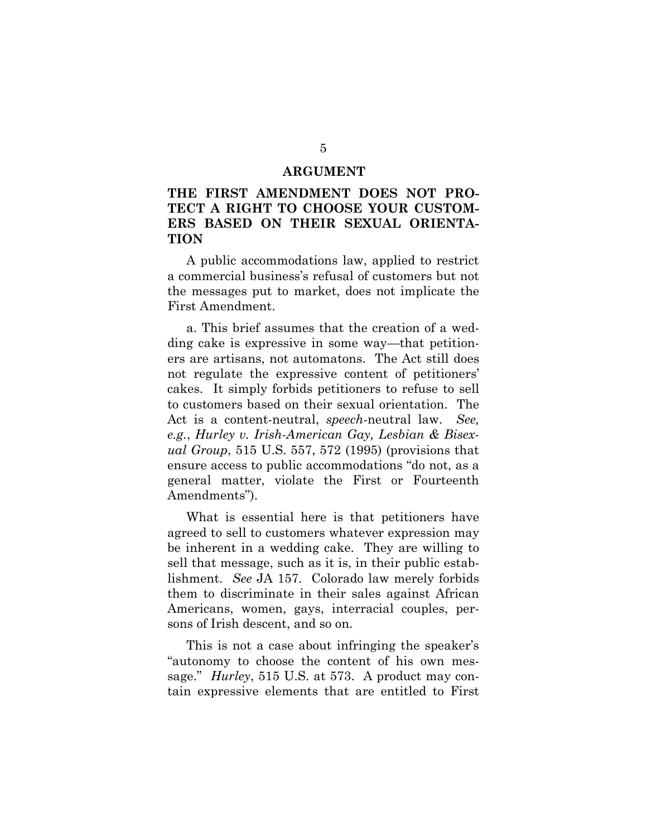#### **ARGUMENT**

# <span id="page-7-1"></span><span id="page-7-0"></span>**THE FIRST AMENDMENT DOES NOT PRO-TECT A RIGHT TO CHOOSE YOUR CUSTOM-ERS BASED ON THEIR SEXUAL ORIENTA-TION**

A public accommodations law, applied to restrict a commercial business's refusal of customers but not the messages put to market, does not implicate the First Amendment.

a. This brief assumes that the creation of a wedding cake is expressive in some way—that petitioners are artisans, not automatons. The Act still does not regulate the expressive content of petitioners' cakes. It simply forbids petitioners to refuse to sell to customers based on their sexual orientation. The Act is a content-neutral, *speech*-neutral law. *See, e.g.*, *Hurley v. Irish-American Gay, Lesbian & Bisexual Group*, 515 U.S. 557, 572 (1995) (provisions that ensure access to public accommodations "do not, as a general matter, violate the First or Fourteenth Amendments").

What is essential here is that petitioners have agreed to sell to customers whatever expression may be inherent in a wedding cake. They are willing to sell that message, such as it is, in their public establishment. *See* JA 157. Colorado law merely forbids them to discriminate in their sales against African Americans, women, gays, interracial couples, persons of Irish descent, and so on.

This is not a case about infringing the speaker's "autonomy to choose the content of his own message." *Hurley*, 515 U.S. at 573. A product may contain expressive elements that are entitled to First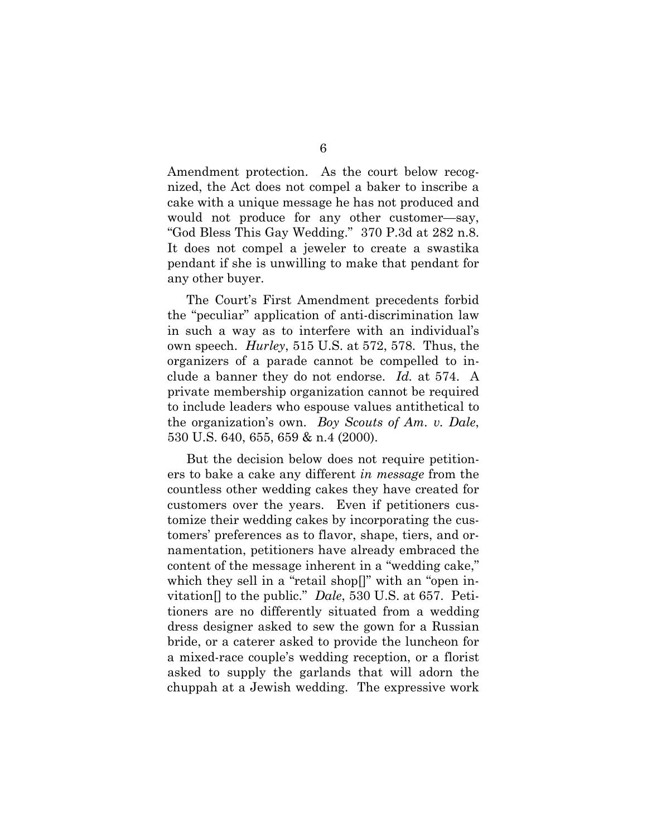Amendment protection. As the court below recognized, the Act does not compel a baker to inscribe a cake with a unique message he has not produced and would not produce for any other customer—say, "God Bless This Gay Wedding." 370 P.3d at 282 n.8. It does not compel a jeweler to create a swastika pendant if she is unwilling to make that pendant for any other buyer.

The Court's First Amendment precedents forbid the "peculiar" application of anti-discrimination law in such a way as to interfere with an individual's own speech. *Hurley*, 515 U.S. at 572, 578. Thus, the organizers of a parade cannot be compelled to include a banner they do not endorse. *Id.* at 574. A private membership organization cannot be required to include leaders who espouse values antithetical to the organization's own. *Boy Scouts of Am. v. Dale*, 530 U.S. 640, 655, 659 & n.4 (2000).

But the decision below does not require petitioners to bake a cake any different *in message* from the countless other wedding cakes they have created for customers over the years. Even if petitioners customize their wedding cakes by incorporating the customers' preferences as to flavor, shape, tiers, and ornamentation, petitioners have already embraced the content of the message inherent in a "wedding cake," which they sell in a "retail shop[]" with an "open invitation[] to the public." *Dale*, 530 U.S. at 657. Petitioners are no differently situated from a wedding dress designer asked to sew the gown for a Russian bride, or a caterer asked to provide the luncheon for a mixed-race couple's wedding reception, or a florist asked to supply the garlands that will adorn the chuppah at a Jewish wedding. The expressive work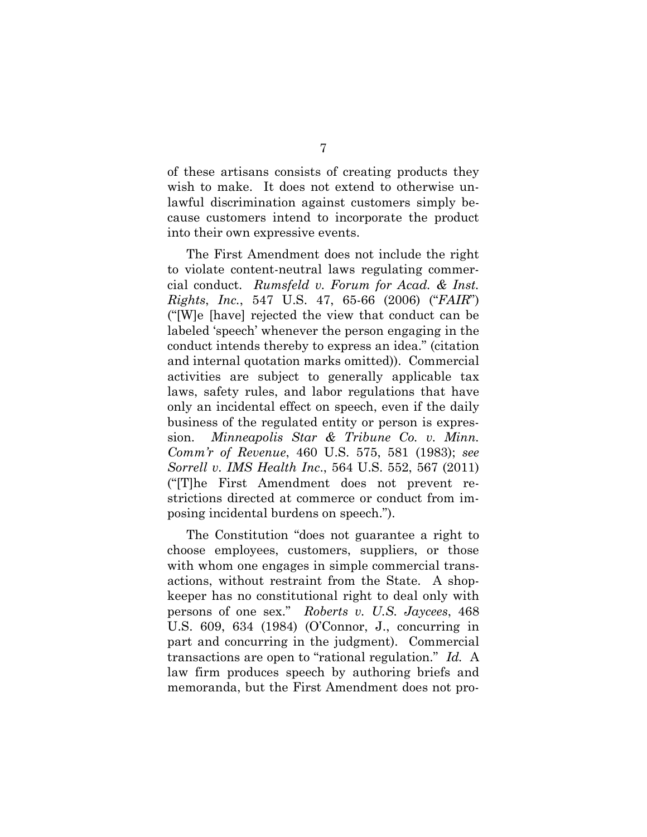of these artisans consists of creating products they wish to make. It does not extend to otherwise unlawful discrimination against customers simply because customers intend to incorporate the product into their own expressive events.

The First Amendment does not include the right to violate content-neutral laws regulating commercial conduct. *Rumsfeld v. Forum for Acad. & Inst. Rights*, *Inc.*, 547 U.S. 47, 65-66 (2006) ("*FAIR*") ("[W]e [have] rejected the view that conduct can be labeled 'speech' whenever the person engaging in the conduct intends thereby to express an idea." (citation and internal quotation marks omitted)). Commercial activities are subject to generally applicable tax laws, safety rules, and labor regulations that have only an incidental effect on speech, even if the daily business of the regulated entity or person is expression. *Minneapolis Star & Tribune Co. v. Minn. Comm'r of Revenue*, 460 U.S. 575, 581 (1983); *see Sorrell v. IMS Health Inc*., 564 U.S. 552, 567 (2011) ("[T]he First Amendment does not prevent restrictions directed at commerce or conduct from imposing incidental burdens on speech.").

The Constitution "does not guarantee a right to choose employees, customers, suppliers, or those with whom one engages in simple commercial transactions, without restraint from the State. A shopkeeper has no constitutional right to deal only with persons of one sex." *Roberts v. U.S. Jaycees*, 468 U.S. 609, 634 (1984) (O'Connor, J., concurring in part and concurring in the judgment). Commercial transactions are open to "rational regulation." *Id.* A law firm produces speech by authoring briefs and memoranda, but the First Amendment does not pro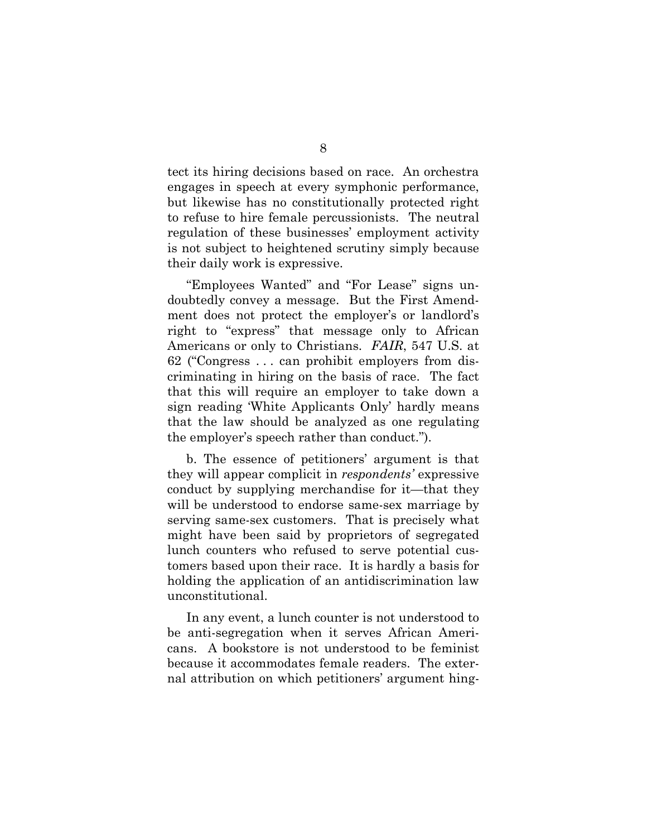tect its hiring decisions based on race. An orchestra engages in speech at every symphonic performance, but likewise has no constitutionally protected right to refuse to hire female percussionists. The neutral regulation of these businesses' employment activity is not subject to heightened scrutiny simply because their daily work is expressive.

"Employees Wanted" and "For Lease" signs undoubtedly convey a message. But the First Amendment does not protect the employer's or landlord's right to "express" that message only to African Americans or only to Christians. *FAIR*, 547 U.S. at 62 ("Congress . . . can prohibit employers from discriminating in hiring on the basis of race. The fact that this will require an employer to take down a sign reading 'White Applicants Only' hardly means that the law should be analyzed as one regulating the employer's speech rather than conduct.").

b. The essence of petitioners' argument is that they will appear complicit in *respondents'* expressive conduct by supplying merchandise for it—that they will be understood to endorse same-sex marriage by serving same-sex customers. That is precisely what might have been said by proprietors of segregated lunch counters who refused to serve potential customers based upon their race. It is hardly a basis for holding the application of an antidiscrimination law unconstitutional.

In any event, a lunch counter is not understood to be anti-segregation when it serves African Americans. A bookstore is not understood to be feminist because it accommodates female readers. The external attribution on which petitioners' argument hing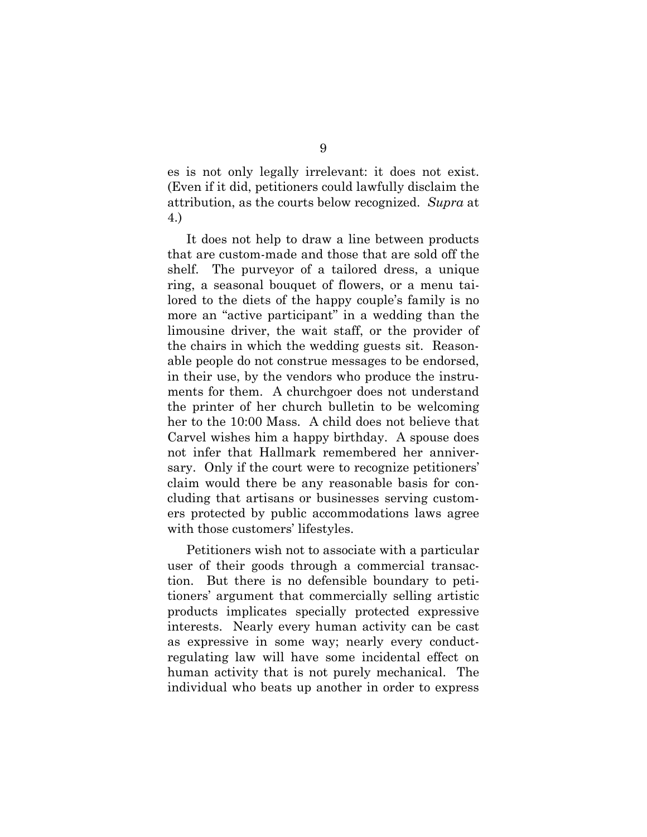es is not only legally irrelevant: it does not exist. (Even if it did, petitioners could lawfully disclaim the attribution, as the courts below recognized. *Supra* at 4.)

It does not help to draw a line between products that are custom-made and those that are sold off the shelf. The purveyor of a tailored dress, a unique ring, a seasonal bouquet of flowers, or a menu tailored to the diets of the happy couple's family is no more an "active participant" in a wedding than the limousine driver, the wait staff, or the provider of the chairs in which the wedding guests sit. Reasonable people do not construe messages to be endorsed, in their use, by the vendors who produce the instruments for them. A churchgoer does not understand the printer of her church bulletin to be welcoming her to the 10:00 Mass. A child does not believe that Carvel wishes him a happy birthday. A spouse does not infer that Hallmark remembered her anniversary. Only if the court were to recognize petitioners' claim would there be any reasonable basis for concluding that artisans or businesses serving customers protected by public accommodations laws agree with those customers' lifestyles.

Petitioners wish not to associate with a particular user of their goods through a commercial transaction. But there is no defensible boundary to petitioners' argument that commercially selling artistic products implicates specially protected expressive interests. Nearly every human activity can be cast as expressive in some way; nearly every conductregulating law will have some incidental effect on human activity that is not purely mechanical. The individual who beats up another in order to express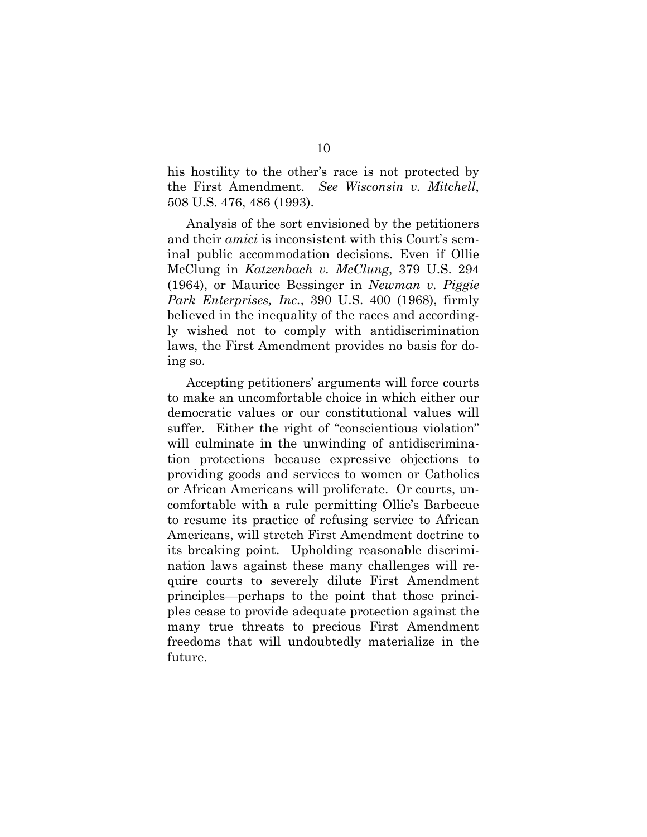his hostility to the other's race is not protected by the First Amendment. *See Wisconsin v. Mitchell*, 508 U.S. 476, 486 (1993).

Analysis of the sort envisioned by the petitioners and their *amici* is inconsistent with this Court's seminal public accommodation decisions. Even if Ollie McClung in *Katzenbach v. McClung*, 379 U.S. 294 (1964), or Maurice Bessinger in *Newman v. Piggie Park Enterprises, Inc.*, 390 U.S. 400 (1968), firmly believed in the inequality of the races and accordingly wished not to comply with antidiscrimination laws, the First Amendment provides no basis for doing so.

Accepting petitioners' arguments will force courts to make an uncomfortable choice in which either our democratic values or our constitutional values will suffer. Either the right of "conscientious violation" will culminate in the unwinding of antidiscrimination protections because expressive objections to providing goods and services to women or Catholics or African Americans will proliferate. Or courts, uncomfortable with a rule permitting Ollie's Barbecue to resume its practice of refusing service to African Americans, will stretch First Amendment doctrine to its breaking point. Upholding reasonable discrimination laws against these many challenges will require courts to severely dilute First Amendment principles—perhaps to the point that those principles cease to provide adequate protection against the many true threats to precious First Amendment freedoms that will undoubtedly materialize in the future.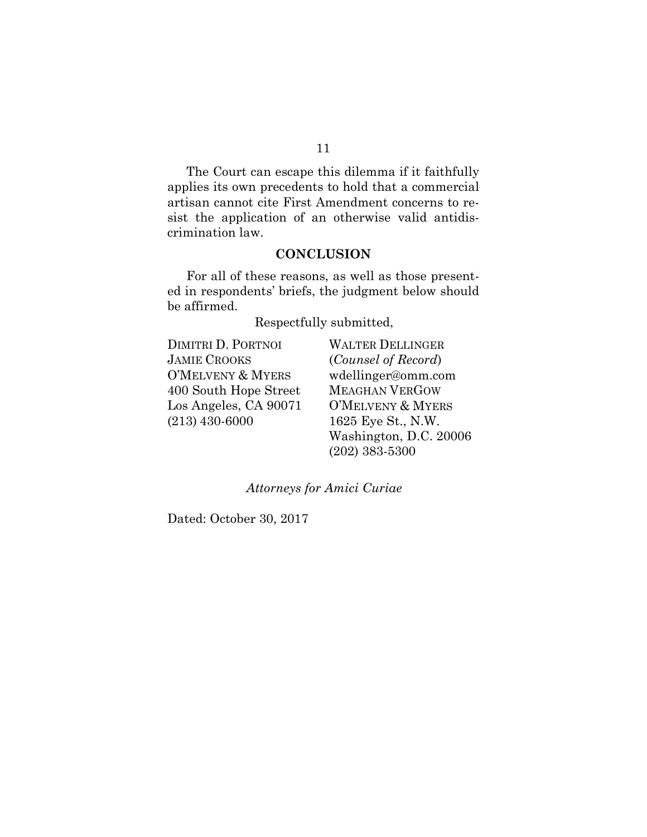The Court can escape this dilemma if it faithfully applies its own precedents to hold that a commercial artisan cannot cite First Amendment concerns to resist the application of an otherwise valid antidiscrimination law.

## **CONCLUSION**

<span id="page-13-0"></span>For all of these reasons, as well as those presented in respondents' briefs, the judgment below should be affirmed.

Respectfully submitted,

| <b>DIMITRI D. PORTNOI</b> |
|---------------------------|
| JAMIE CROOKS              |
| O'MELVENY & MYERS         |
| 400 South Hope Street     |
| Los Angeles, CA 90071     |
| $(213)$ 430-6000          |
|                           |

WALTER DELLINGER (*Counsel of Record*) wdellinger@omm.com MEAGHAN VERGOW O'MELVENY & MYERS 1625 Eye St., N.W. Washington, D.C. 20006 (202) 383-5300

*Attorneys for Amici Curiae*

Dated: October 30, 2017